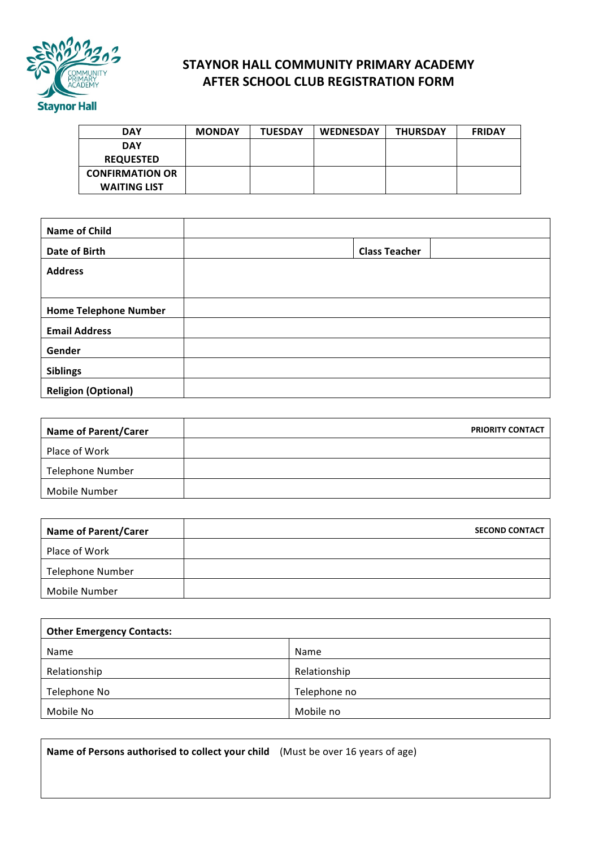

## **STAYNOR HALL COMMUNITY PRIMARY ACADEMY AFTER SCHOOL CLUB REGISTRATION FORM**

| <b>DAY</b>             | <b>MONDAY</b> | <b>TUESDAY</b> | <b>WEDNESDAY</b> | <b>THURSDAY</b> | <b>FRIDAY</b> |
|------------------------|---------------|----------------|------------------|-----------------|---------------|
| <b>DAY</b>             |               |                |                  |                 |               |
| <b>REQUESTED</b>       |               |                |                  |                 |               |
| <b>CONFIRMATION OR</b> |               |                |                  |                 |               |
| <b>WAITING LIST</b>    |               |                |                  |                 |               |

| <b>Name of Child</b>         |                      |  |
|------------------------------|----------------------|--|
| Date of Birth                | <b>Class Teacher</b> |  |
| <b>Address</b>               |                      |  |
|                              |                      |  |
| <b>Home Telephone Number</b> |                      |  |
| <b>Email Address</b>         |                      |  |
| Gender                       |                      |  |
| <b>Siblings</b>              |                      |  |
| <b>Religion (Optional)</b>   |                      |  |

| <b>PRIORITY CONTACT</b> |
|-------------------------|
|                         |
|                         |
|                         |
|                         |

| <b>Name of Parent/Carer</b> | <b>SECOND CONTACT</b> |
|-----------------------------|-----------------------|
| Place of Work               |                       |
| <b>Telephone Number</b>     |                       |
| Mobile Number               |                       |

| <b>Other Emergency Contacts:</b> |              |  |  |  |
|----------------------------------|--------------|--|--|--|
| Name                             | Name         |  |  |  |
| Relationship                     | Relationship |  |  |  |
| Telephone No                     | Telephone no |  |  |  |
| Mobile No                        | Mobile no    |  |  |  |

**Name of Persons authorised to collect your child** (Must be over 16 years of age)